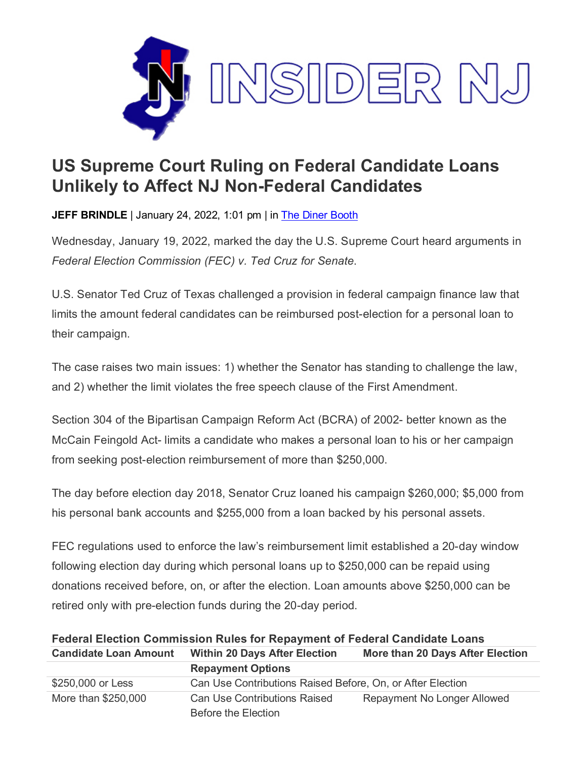

## **US Supreme Court Ruling on Federal Candidate Loans Unlikely to Affect NJ Non-Federal Candidates**

**JEFF BRINDLE** | January 24, 2022, 1:01 pm | in [The Diner Booth](https://www.insidernj.com/category/the-diner-booth/)

Wednesday, January 19, 2022, marked the day the U.S. Supreme Court heard arguments in *Federal Election Commission (FEC) v. Ted Cruz for Senate*.

U.S. Senator Ted Cruz of Texas challenged a provision in federal campaign finance law that limits the amount federal candidates can be reimbursed post-election for a personal loan to their campaign.

The case raises two main issues: 1) whether the Senator has standing to challenge the law, and 2) whether the limit violates the free speech clause of the First Amendment.

Section 304 of the Bipartisan Campaign Reform Act (BCRA) of 2002- better known as the McCain Feingold Act- limits a candidate who makes a personal loan to his or her campaign from seeking post-election reimbursement of more than \$250,000.

The day before election day 2018, Senator Cruz loaned his campaign \$260,000; \$5,000 from his personal bank accounts and \$255,000 from a loan backed by his personal assets.

FEC regulations used to enforce the law's reimbursement limit established a 20-day window following election day during which personal loans up to \$250,000 can be repaid using donations received before, on, or after the election. Loan amounts above \$250,000 can be retired only with pre-election funds during the 20-day period.

| Federal Election Commission Rules for Repayment of Federal Candidate Loans |                                                            |                                    |
|----------------------------------------------------------------------------|------------------------------------------------------------|------------------------------------|
| <b>Candidate Loan Amount</b>                                               | <b>Within 20 Days After Election</b>                       | More than 20 Days After Election   |
|                                                                            | <b>Repayment Options</b>                                   |                                    |
| \$250,000 or Less                                                          | Can Use Contributions Raised Before, On, or After Election |                                    |
| More than \$250,000                                                        | <b>Can Use Contributions Raised</b><br>Before the Election | <b>Repayment No Longer Allowed</b> |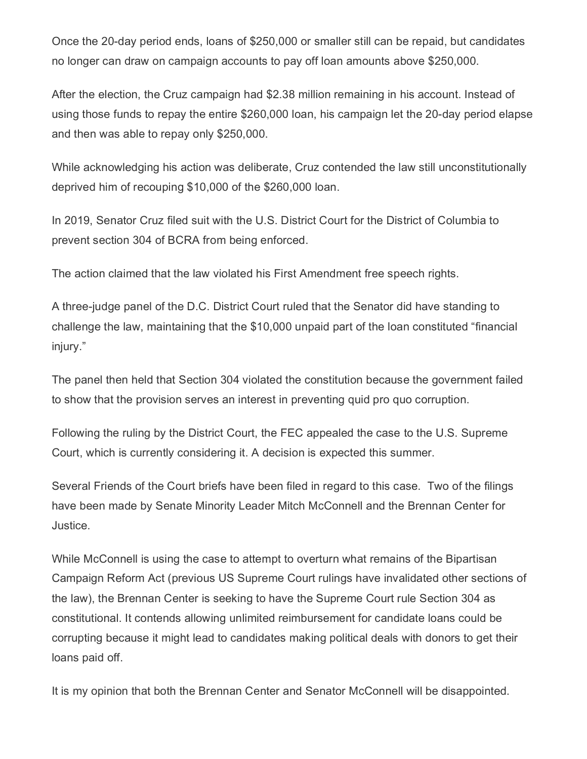Once the 20-day period ends, loans of \$250,000 or smaller still can be repaid, but candidates no longer can draw on campaign accounts to pay off loan amounts above \$250,000.

After the election, the Cruz campaign had \$2.38 million remaining in his account. Instead of using those funds to repay the entire \$260,000 loan, his campaign let the 20-day period elapse and then was able to repay only \$250,000.

While acknowledging his action was deliberate, Cruz contended the law still unconstitutionally deprived him of recouping \$10,000 of the \$260,000 loan.

In 2019, Senator Cruz filed suit with the U.S. District Court for the District of Columbia to prevent section 304 of BCRA from being enforced.

The action claimed that the law violated his First Amendment free speech rights.

A three-judge panel of the D.C. District Court ruled that the Senator did have standing to challenge the law, maintaining that the \$10,000 unpaid part of the loan constituted "financial injury."

The panel then held that Section 304 violated the constitution because the government failed to show that the provision serves an interest in preventing quid pro quo corruption.

Following the ruling by the District Court, the FEC appealed the case to the U.S. Supreme Court, which is currently considering it. A decision is expected this summer.

Several Friends of the Court briefs have been filed in regard to this case. Two of the filings have been made by Senate Minority Leader Mitch McConnell and the Brennan Center for Justice.

While McConnell is using the case to attempt to overturn what remains of the Bipartisan Campaign Reform Act (previous US Supreme Court rulings have invalidated other sections of the law), the Brennan Center is seeking to have the Supreme Court rule Section 304 as constitutional. It contends allowing unlimited reimbursement for candidate loans could be corrupting because it might lead to candidates making political deals with donors to get their loans paid off.

It is my opinion that both the Brennan Center and Senator McConnell will be disappointed.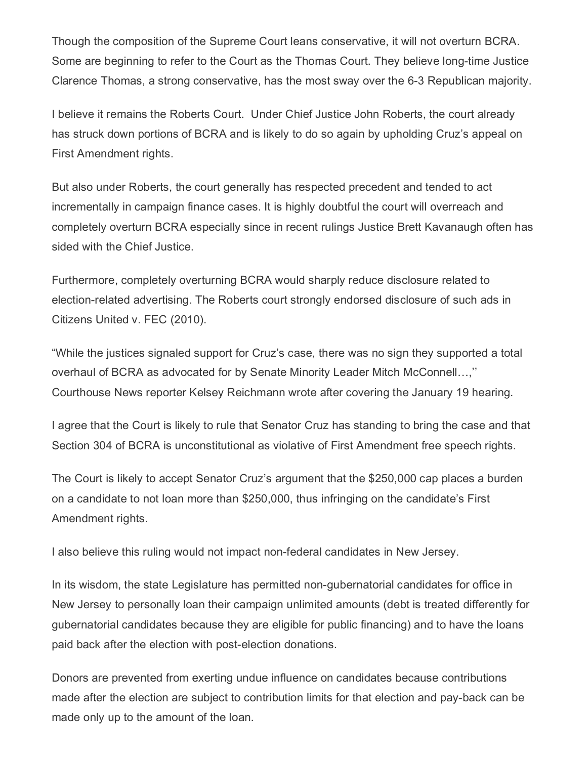Though the composition of the Supreme Court leans conservative, it will not overturn BCRA. Some are beginning to refer to the Court as the Thomas Court. They believe long-time Justice Clarence Thomas, a strong conservative, has the most sway over the 6-3 Republican majority.

I believe it remains the Roberts Court. Under Chief Justice John Roberts, the court already has struck down portions of BCRA and is likely to do so again by upholding Cruz's appeal on First Amendment rights.

But also under Roberts, the court generally has respected precedent and tended to act incrementally in campaign finance cases. It is highly doubtful the court will overreach and completely overturn BCRA especially since in recent rulings Justice Brett Kavanaugh often has sided with the Chief Justice.

Furthermore, completely overturning BCRA would sharply reduce disclosure related to election-related advertising. The Roberts court strongly endorsed disclosure of such ads in Citizens United v. FEC (2010).

"While the justices signaled support for Cruz's case, there was no sign they supported a total overhaul of BCRA as advocated for by Senate Minority Leader Mitch McConnell…,'' Courthouse News reporter Kelsey Reichmann wrote after covering the January 19 hearing.

I agree that the Court is likely to rule that Senator Cruz has standing to bring the case and that Section 304 of BCRA is unconstitutional as violative of First Amendment free speech rights.

The Court is likely to accept Senator Cruz's argument that the \$250,000 cap places a burden on a candidate to not loan more than \$250,000, thus infringing on the candidate's First Amendment rights.

I also believe this ruling would not impact non-federal candidates in New Jersey.

In its wisdom, the state Legislature has permitted non-gubernatorial candidates for office in New Jersey to personally loan their campaign unlimited amounts (debt is treated differently for gubernatorial candidates because they are eligible for public financing) and to have the loans paid back after the election with post-election donations.

Donors are prevented from exerting undue influence on candidates because contributions made after the election are subject to contribution limits for that election and pay-back can be made only up to the amount of the loan.